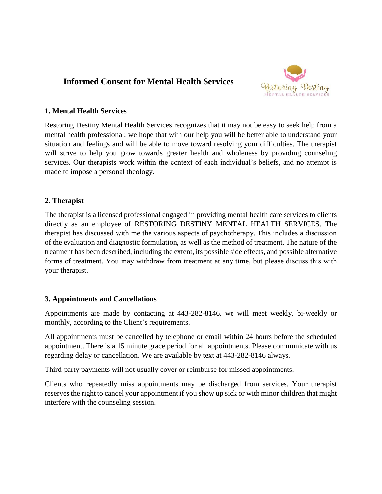## **Informed Consent for Mental Health Services**



#### **1. Mental Health Services**

Restoring Destiny Mental Health Services recognizes that it may not be easy to seek help from a mental health professional; we hope that with our help you will be better able to understand your situation and feelings and will be able to move toward resolving your difficulties. The therapist will strive to help you grow towards greater health and wholeness by providing counseling services. Our therapists work within the context of each individual's beliefs, and no attempt is made to impose a personal theology.

#### **2. Therapist**

The therapist is a licensed professional engaged in providing mental health care services to clients directly as an employee of RESTORING DESTINY MENTAL HEALTH SERVICES. The therapist has discussed with me the various aspects of psychotherapy. This includes a discussion of the evaluation and diagnostic formulation, as well as the method of treatment. The nature of the treatment has been described, including the extent, its possible side effects, and possible alternative forms of treatment. You may withdraw from treatment at any time, but please discuss this with your therapist.

#### **3. Appointments and Cancellations**

Appointments are made by contacting at 443-282-8146, we will meet weekly, bi-weekly or monthly, according to the Client's requirements.

All appointments must be cancelled by telephone or email within 24 hours before the scheduled appointment. There is a 15 minute grace period for all appointments. Please communicate with us regarding delay or cancellation. We are available by text at 443-282-8146 always.

Third-party payments will not usually cover or reimburse for missed appointments.

Clients who repeatedly miss appointments may be discharged from services. Your therapist reserves the right to cancel your appointment if you show up sick or with minor children that might interfere with the counseling session.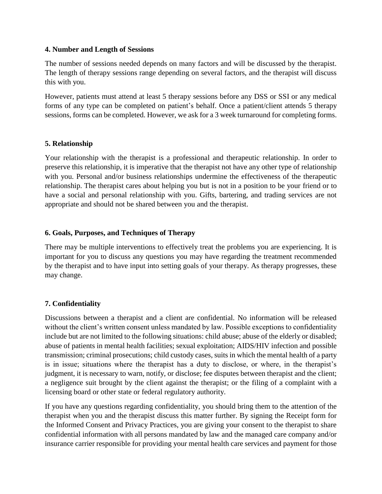#### **4. Number and Length of Sessions**

The number of sessions needed depends on many factors and will be discussed by the therapist. The length of therapy sessions range depending on several factors, and the therapist will discuss this with you.

However, patients must attend at least 5 therapy sessions before any DSS or SSI or any medical forms of any type can be completed on patient's behalf. Once a patient/client attends 5 therapy sessions, forms can be completed. However, we ask for a 3 week turnaround for completing forms.

#### **5. Relationship**

Your relationship with the therapist is a professional and therapeutic relationship. In order to preserve this relationship, it is imperative that the therapist not have any other type of relationship with you. Personal and/or business relationships undermine the effectiveness of the therapeutic relationship. The therapist cares about helping you but is not in a position to be your friend or to have a social and personal relationship with you. Gifts, bartering, and trading services are not appropriate and should not be shared between you and the therapist.

#### **6. Goals, Purposes, and Techniques of Therapy**

There may be multiple interventions to effectively treat the problems you are experiencing. It is important for you to discuss any questions you may have regarding the treatment recommended by the therapist and to have input into setting goals of your therapy. As therapy progresses, these may change.

#### **7. Confidentiality**

Discussions between a therapist and a client are confidential. No information will be released without the client's written consent unless mandated by law. Possible exceptions to confidentiality include but are not limited to the following situations: child abuse; abuse of the elderly or disabled; abuse of patients in mental health facilities; sexual exploitation; AIDS/HIV infection and possible transmission; criminal prosecutions; child custody cases, suits in which the mental health of a party is in issue; situations where the therapist has a duty to disclose, or where, in the therapist's judgment, it is necessary to warn, notify, or disclose; fee disputes between therapist and the client; a negligence suit brought by the client against the therapist; or the filing of a complaint with a licensing board or other state or federal regulatory authority.

If you have any questions regarding confidentiality, you should bring them to the attention of the therapist when you and the therapist discuss this matter further. By signing the Receipt form for the Informed Consent and Privacy Practices, you are giving your consent to the therapist to share confidential information with all persons mandated by law and the managed care company and/or insurance carrier responsible for providing your mental health care services and payment for those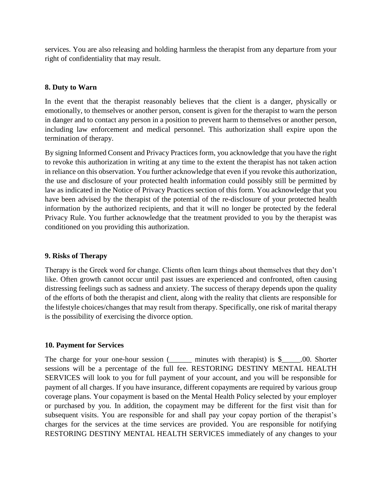services. You are also releasing and holding harmless the therapist from any departure from your right of confidentiality that may result.

### **8. Duty to Warn**

In the event that the therapist reasonably believes that the client is a danger, physically or emotionally, to themselves or another person, consent is given for the therapist to warn the person in danger and to contact any person in a position to prevent harm to themselves or another person, including law enforcement and medical personnel. This authorization shall expire upon the termination of therapy.

By signing Informed Consent and Privacy Practices form, you acknowledge that you have the right to revoke this authorization in writing at any time to the extent the therapist has not taken action in reliance on this observation. You further acknowledge that even if you revoke this authorization, the use and disclosure of your protected health information could possibly still be permitted by law as indicated in the Notice of Privacy Practices section of this form. You acknowledge that you have been advised by the therapist of the potential of the re-disclosure of your protected health information by the authorized recipients, and that it will no longer be protected by the federal Privacy Rule. You further acknowledge that the treatment provided to you by the therapist was conditioned on you providing this authorization.

#### **9. Risks of Therapy**

Therapy is the Greek word for change. Clients often learn things about themselves that they don't like. Often growth cannot occur until past issues are experienced and confronted, often causing distressing feelings such as sadness and anxiety. The success of therapy depends upon the quality of the efforts of both the therapist and client, along with the reality that clients are responsible for the lifestyle choices/changes that may result from therapy. Specifically, one risk of marital therapy is the possibility of exercising the divorce option.

#### **10. Payment for Services**

The charge for your one-hour session (\_\_\_\_\_\_ minutes with therapist) is \$\_\_\_\_\_.00. Shorter sessions will be a percentage of the full fee. RESTORING DESTINY MENTAL HEALTH SERVICES will look to you for full payment of your account, and you will be responsible for payment of all charges. If you have insurance, different copayments are required by various group coverage plans. Your copayment is based on the Mental Health Policy selected by your employer or purchased by you. In addition, the copayment may be different for the first visit than for subsequent visits. You are responsible for and shall pay your copay portion of the therapist's charges for the services at the time services are provided. You are responsible for notifying RESTORING DESTINY MENTAL HEALTH SERVICES immediately of any changes to your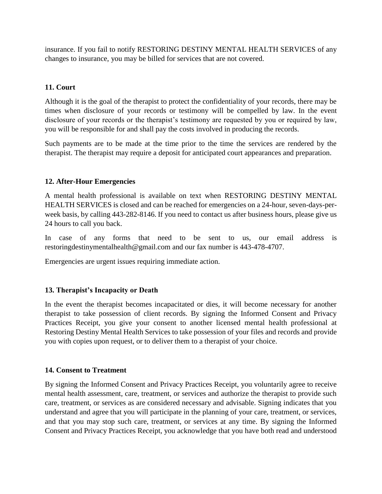insurance. If you fail to notify RESTORING DESTINY MENTAL HEALTH SERVICES of any changes to insurance, you may be billed for services that are not covered.

### **11. Court**

Although it is the goal of the therapist to protect the confidentiality of your records, there may be times when disclosure of your records or testimony will be compelled by law. In the event disclosure of your records or the therapist's testimony are requested by you or required by law, you will be responsible for and shall pay the costs involved in producing the records.

Such payments are to be made at the time prior to the time the services are rendered by the therapist. The therapist may require a deposit for anticipated court appearances and preparation.

#### **12. After-Hour Emergencies**

A mental health professional is available on text when RESTORING DESTINY MENTAL HEALTH SERVICES is closed and can be reached for emergencies on a 24-hour, seven-days-perweek basis, by calling 443-282-8146. If you need to contact us after business hours, please give us 24 hours to call you back.

In case of any forms that need to be sent to us, our email address is restoringdestinymentalhealth@gmail.com and our fax number is 443-478-4707.

Emergencies are urgent issues requiring immediate action.

#### **13. Therapist's Incapacity or Death**

In the event the therapist becomes incapacitated or dies, it will become necessary for another therapist to take possession of client records. By signing the Informed Consent and Privacy Practices Receipt, you give your consent to another licensed mental health professional at Restoring Destiny Mental Health Services to take possession of your files and records and provide you with copies upon request, or to deliver them to a therapist of your choice.

#### **14. Consent to Treatment**

By signing the Informed Consent and Privacy Practices Receipt, you voluntarily agree to receive mental health assessment, care, treatment, or services and authorize the therapist to provide such care, treatment, or services as are considered necessary and advisable. Signing indicates that you understand and agree that you will participate in the planning of your care, treatment, or services, and that you may stop such care, treatment, or services at any time. By signing the Informed Consent and Privacy Practices Receipt, you acknowledge that you have both read and understood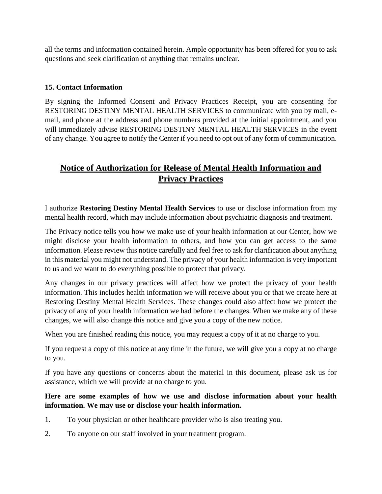all the terms and information contained herein. Ample opportunity has been offered for you to ask questions and seek clarification of anything that remains unclear.

## **15. Contact Information**

By signing the Informed Consent and Privacy Practices Receipt, you are consenting for RESTORING DESTINY MENTAL HEALTH SERVICES to communicate with you by mail, email, and phone at the address and phone numbers provided at the initial appointment, and you will immediately advise RESTORING DESTINY MENTAL HEALTH SERVICES in the event of any change. You agree to notify the Center if you need to opt out of any form of communication.

# **Notice of Authorization for Release of Mental Health Information and Privacy Practices**

I authorize **Restoring Destiny Mental Health Services** to use or disclose information from my mental health record, which may include information about psychiatric diagnosis and treatment.

The Privacy notice tells you how we make use of your health information at our Center, how we might disclose your health information to others, and how you can get access to the same information. Please review this notice carefully and feel free to ask for clarification about anything in this material you might not understand. The privacy of your health information is very important to us and we want to do everything possible to protect that privacy.

Any changes in our privacy practices will affect how we protect the privacy of your health information. This includes health information we will receive about you or that we create here at Restoring Destiny Mental Health Services. These changes could also affect how we protect the privacy of any of your health information we had before the changes. When we make any of these changes, we will also change this notice and give you a copy of the new notice.

When you are finished reading this notice, you may request a copy of it at no charge to you.

If you request a copy of this notice at any time in the future, we will give you a copy at no charge to you.

If you have any questions or concerns about the material in this document, please ask us for assistance, which we will provide at no charge to you.

#### **Here are some examples of how we use and disclose information about your health information. We may use or disclose your health information.**

- 1. To your physician or other healthcare provider who is also treating you.
- 2. To anyone on our staff involved in your treatment program.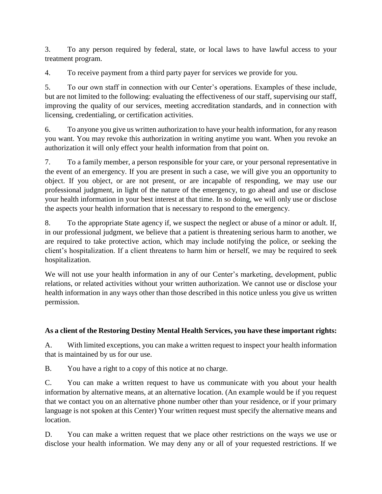3. To any person required by federal, state, or local laws to have lawful access to your treatment program.

4. To receive payment from a third party payer for services we provide for you.

5. To our own staff in connection with our Center's operations. Examples of these include, but are not limited to the following: evaluating the effectiveness of our staff, supervising our staff, improving the quality of our services, meeting accreditation standards, and in connection with licensing, credentialing, or certification activities.

6. To anyone you give us written authorization to have your health information, for any reason you want. You may revoke this authorization in writing anytime you want. When you revoke an authorization it will only effect your health information from that point on.

7. To a family member, a person responsible for your care, or your personal representative in the event of an emergency. If you are present in such a case, we will give you an opportunity to object. If you object, or are not present, or are incapable of responding, we may use our professional judgment, in light of the nature of the emergency, to go ahead and use or disclose your health information in your best interest at that time. In so doing, we will only use or disclose the aspects your health information that is necessary to respond to the emergency.

8. To the appropriate State agency if, we suspect the neglect or abuse of a minor or adult. If, in our professional judgment, we believe that a patient is threatening serious harm to another, we are required to take protective action, which may include notifying the police, or seeking the client's hospitalization. If a client threatens to harm him or herself, we may be required to seek hospitalization.

We will not use your health information in any of our Center's marketing, development, public relations, or related activities without your written authorization. We cannot use or disclose your health information in any ways other than those described in this notice unless you give us written permission.

## **As a client of the Restoring Destiny Mental Health Services, you have these important rights:**

A. With limited exceptions, you can make a written request to inspect your health information that is maintained by us for our use.

B. You have a right to a copy of this notice at no charge.

C. You can make a written request to have us communicate with you about your health information by alternative means, at an alternative location. (An example would be if you request that we contact you on an alternative phone number other than your residence, or if your primary language is not spoken at this Center) Your written request must specify the alternative means and location.

D. You can make a written request that we place other restrictions on the ways we use or disclose your health information. We may deny any or all of your requested restrictions. If we